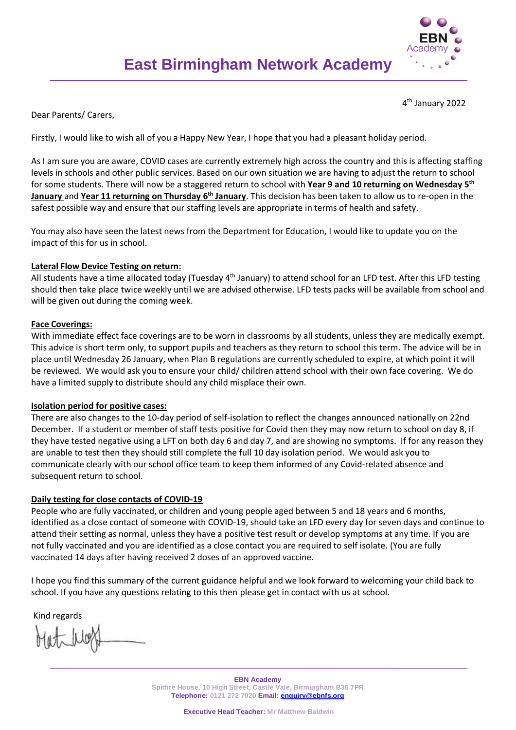

4<sup>th</sup> January 2022

Dear Parents/ Carers,

Firstly, I would like to wish all of you a Happy New Year, I hope that you had a pleasant holiday period.

As I am sure you are aware, COVID cases are currently extremely high across the country and this is affecting staffing levels in schools and other public services. Based on our own situation we are having to adjust the return to school for some students. There will now be a staggered return to school with **Year 9 and 10 returning on Wednesday 5 th January** and **Year 11 returning on Thursday 6 th January**. This decision has been taken to allow us to re-open in the safest possible way and ensure that our staffing levels are appropriate in terms of health and safety.

You may also have seen the latest news from the Department for Education, I would like to update you on the impact of this for us in school.

## **Lateral Flow Device Testing on return:**

All students have a time allocated today (Tuesday 4<sup>th</sup> January) to attend school for an LFD test. After this LFD testing should then take place twice weekly until we are advised otherwise. LFD tests packs will be available from school and will be given out during the coming week.

## **Face Coverings:**

With immediate effect face coverings are to be worn in classrooms by all students, unless they are medically exempt. This advice is short term only, to support pupils and teachers as they return to school this term. The advice will be in place until Wednesday 26 January, when Plan B regulations are currently scheduled to expire, at which point it will be reviewed. We would ask you to ensure your child/ children attend school with their own face covering. We do have a limited supply to distribute should any child misplace their own.

## **Isolation period for positive cases:**

There are also changes to the 10-day period of self-isolation to reflect the changes announced nationally on 22nd December. If a student or member of staff tests positive for Covid then they may now return to school on day 8, if they have tested negative using a LFT on both day 6 and day 7, and are showing no symptoms. If for any reason they are unable to test then they should still complete the full 10 day isolation period. We would ask you to communicate clearly with our school office team to keep them informed of any Covid-related absence and subsequent return to school.

## **Daily testing for close contacts of COVID-19**

People who are fully vaccinated, or children and young people aged between 5 and 18 years and 6 months, identified as a close contact of someone with COVID-19, should take an LFD every day for seven days and continue to attend their setting as normal, unless they have a positive test result or develop symptoms at any time. If you are not fully vaccinated and you are identified as a close contact you are required to self isolate. (You are fully vaccinated 14 days after having received 2 doses of an approved vaccine.

I hope you find this summary of the current guidance helpful and we look forward to welcoming your child back to school. If you have any questions relating to this then please get in contact with us at school.

Kind regards

**EBN Academy Spitfire House, 10 High Street, Castle Vale, Birmingham B35 7PR Telephone: 0121 272 7020 Email: [enquiry@ebnfs.org](mailto:enquiry@ebnfs.org)**